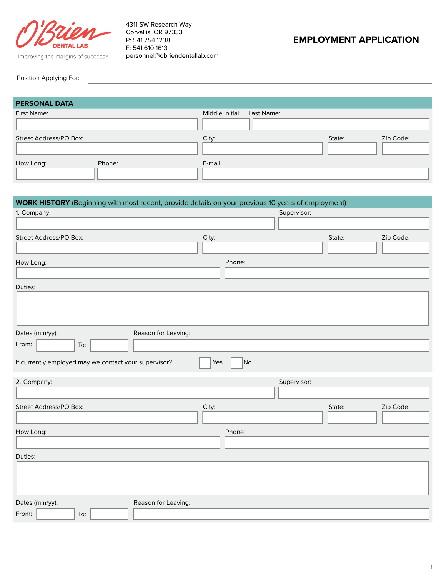

4311 SW Research Way Corvallis, OR 97333 P: 541.754.1238 F: 541.610.1613 Improving the margins of success.<sup>®</sup> | personnel@obriendentallab.com

# **EMPLOYMENT APPLICATION**

#### Position Applying For:

| <b>PERSONAL DATA</b>   |                            |        |           |
|------------------------|----------------------------|--------|-----------|
| First Name:            | Middle Initial: Last Name: |        |           |
| Street Address/PO Box: | City:                      | State: | Zip Code: |
| How Long:<br>Phone:    | E-mail:                    |        |           |

| <b>WORK HISTORY</b> (Beginning with most recent, provide details on your previous 10 years of employment) |           |             |        |           |
|-----------------------------------------------------------------------------------------------------------|-----------|-------------|--------|-----------|
| 1. Company:                                                                                               |           | Supervisor: |        |           |
|                                                                                                           |           |             |        |           |
| Street Address/PO Box:                                                                                    | City:     |             | State: | Zip Code: |
|                                                                                                           |           |             |        |           |
| How Long:                                                                                                 | Phone:    |             |        |           |
|                                                                                                           |           |             |        |           |
| Duties:                                                                                                   |           |             |        |           |
|                                                                                                           |           |             |        |           |
|                                                                                                           |           |             |        |           |
|                                                                                                           |           |             |        |           |
| Dates (mm/yy):<br>Reason for Leaving:                                                                     |           |             |        |           |
| From:<br>To:                                                                                              |           |             |        |           |
| If currently employed may we contact your supervisor?                                                     | No<br>Yes |             |        |           |
| 2. Company:                                                                                               |           | Supervisor: |        |           |
|                                                                                                           |           |             |        |           |
| Street Address/PO Box:                                                                                    | City:     |             | State: | Zip Code: |
|                                                                                                           |           |             |        |           |
| How Long:                                                                                                 | Phone:    |             |        |           |
|                                                                                                           |           |             |        |           |
| Duties:                                                                                                   |           |             |        |           |
|                                                                                                           |           |             |        |           |
|                                                                                                           |           |             |        |           |
|                                                                                                           |           |             |        |           |
| Dates (mm/yy):<br>Reason for Leaving:                                                                     |           |             |        |           |
| From:<br>To:                                                                                              |           |             |        |           |
|                                                                                                           |           |             |        |           |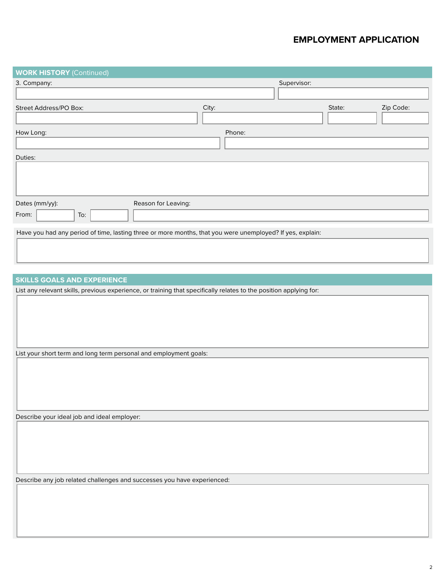## **EMPLOYMENT APPLICATION**

| <b>WORK HISTORY (Continued)</b>                                                                           |                     |             |        |           |
|-----------------------------------------------------------------------------------------------------------|---------------------|-------------|--------|-----------|
| 3. Company:                                                                                               |                     | Supervisor: |        |           |
| Street Address/PO Box:                                                                                    | City:               |             | State: | Zip Code: |
| How Long:                                                                                                 |                     | Phone:      |        |           |
| Duties:                                                                                                   |                     |             |        |           |
| Dates (mm/yy):<br>From:<br>To:                                                                            | Reason for Leaving: |             |        |           |
| Have you had any period of time, lasting three or more months, that you were unemployed? If yes, explain: |                     |             |        |           |

#### **SKILLS GOALS AND EXPERIENCE**

List any relevant skills, previous experience, or training that specifically relates to the position applying for:

List your short term and long term personal and employment goals:

Describe your ideal job and ideal employer:

Describe any job related challenges and successes you have experienced: